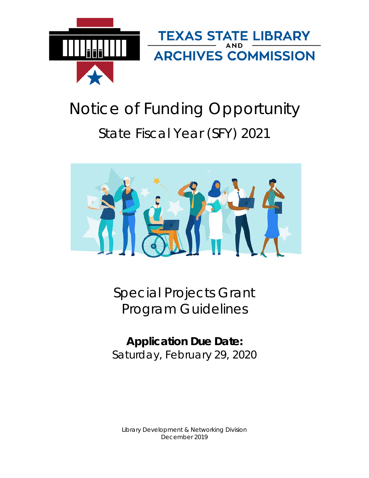

# Notice of Funding Opportunity State Fiscal Year (SFY) 2021



Special Projects Grant Program Guidelines

**Application Due Date:** Saturday, February 29, 2020

Library Development & Networking Division December 2019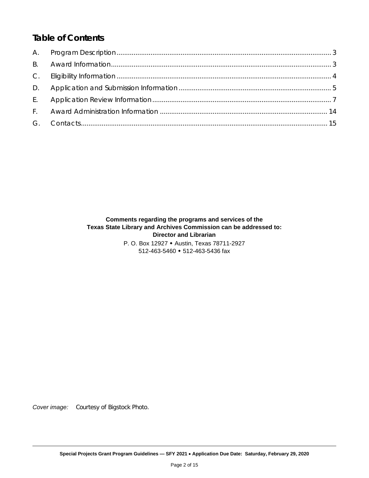# *Table of Contents*

#### **Comments regarding the programs and services of the Texas State Library and Archives Commission can be addressed to: Director and Librarian**

P. O. Box 12927 • Austin, Texas 78711-2927 512-463-5460 512-463-5436 fax

*Cover image:* Courtesy of Bigstock Photo.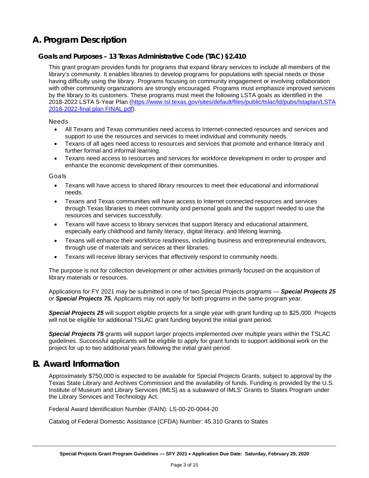# <span id="page-2-0"></span>**A. Program Description**

## **Goals and Purposes – 13 Texas Administrative Code (TAC) §2.410**

This grant program provides funds for programs that expand library services to include all members of the library's community. It enables libraries to develop programs for populations with special needs or those having difficulty using the library. Programs focusing on community engagement or involving collaboration with other community organizations are strongly encouraged. Programs must emphasize improved services by the library to its customers. These programs must meet the following LSTA goals as identified in the 2018-2022 LSTA 5-Year Plan [\(https://www.tsl.texas.gov/sites/default/files/public/tslac/ld/pubs/lstaplan/LSTA](https://www.tsl.texas.gov/sites/default/files/public/tslac/ld/pubs/lstaplan/LSTA%202018-2022-final%20plan%20FINAL.pdf)  [2018-2022-final plan FINAL.pdf\)](https://www.tsl.texas.gov/sites/default/files/public/tslac/ld/pubs/lstaplan/LSTA%202018-2022-final%20plan%20FINAL.pdf).

*Needs*

- All Texans and Texas communities need access to Internet-connected resources and services and support to use the resources and services to meet individual and community needs.
- Texans of all ages need access to resources and services that promote and enhance literacy and further formal and informal learning.
- Texans need access to resources and services for workforce development in order to prosper and enhance the economic development of their communities.

*Goals*

- Texans will have access to shared library resources to meet their educational and informational needs.
- Texans and Texas communities will have access to Internet connected resources and services through Texas libraries to meet community and personal goals and the support needed to use the resources and services successfully.
- Texans will have access to library services that support literacy and educational attainment, especially early childhood and family literacy, digital literacy, and lifelong learning.
- Texans will enhance their workforce readiness, including business and entrepreneurial endeavors, through use of materials and services at their libraries.
- Texans will receive library services that effectively respond to community needs.

The purpose is not for collection development or other activities primarily focused on the acquisition of library materials or resources.

Applications for FY 2021 may be submitted in one of two Special Projects programs — *Special Projects 25 or Special Projects 75.* Applicants may not apply for both programs in the same program year.

*Special Projects 25* will support eligible projects for a single year with grant funding up to \$25,000. Projects will not be eligible for additional TSLAC grant funding beyond the initial grant period.

*Special Projects 75* grants will support larger projects implemented over multiple years within the TSLAC guidelines. Successful applicants will be eligible to apply for grant funds to support additional work on the project for up to two additional years following the initial grant period.

## <span id="page-2-1"></span>**B. Award Information**

Approximately \$750,000 is expected to be available for Special Projects Grants, subject to approval by the Texas State Library and Archives Commission and the availability of funds. Funding is provided by the U.S. Institute of Museum and Library Services (IMLS) as a subaward of IMLS' Grants to States Program under the Library Services and Technology Act.

Federal Award Identification Number (FAIN): LS-00-20-0044-20

Catalog of Federal Domestic Assistance (CFDA) Number: 45.310 Grants to States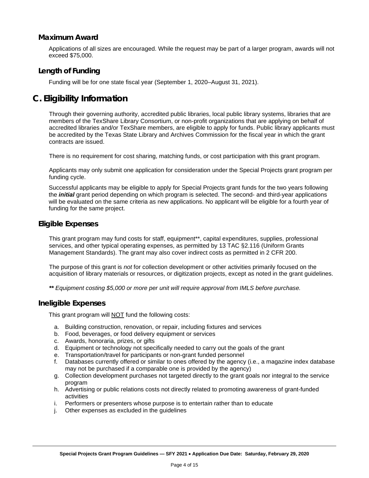## **Maximum Award**

Applications of all sizes are encouraged. While the request may be part of a larger program, awards will not exceed \$75,000.

## **Length of Funding**

Funding will be for one state fiscal year (September 1, 2020–August 31, 2021).

# <span id="page-3-0"></span>**C. Eligibility Information**

Through their governing authority, accredited public libraries, local public library systems, libraries that are members of the TexShare Library Consortium, or non-profit organizations that are applying on behalf of accredited libraries and/or TexShare members, are eligible to apply for funds. Public library applicants must be accredited by the Texas State Library and Archives Commission for the fiscal year in which the grant contracts are issued.

There is no requirement for cost sharing, matching funds, or cost participation with this grant program.

Applicants may only submit one application for consideration under the Special Projects grant program per funding cycle.

Successful applicants may be eligible to apply for Special Projects grant funds for the two years following the *initial* grant period depending on which program is selected. The second- and third-year applications will be evaluated on the same criteria as new applications. No applicant will be eligible for a fourth year of funding for the same project.

#### **Eligible Expenses**

This grant program may fund costs for staff, equipment\*\*, capital expenditures, supplies, professional services, and other typical operating expenses, as permitted by 13 TAC §2.116 (Uniform Grants Management Standards). The grant may also cover indirect costs as permitted in 2 CFR 200.

The purpose of this grant is *not* for collection development or other activities primarily focused on the acquisition of library materials or resources, or digitization projects, except as noted in the grant guidelines.

*\*\* Equipment costing \$5,000 or more per unit will require approval from IMLS before purchase.*

#### **Ineligible Expenses**

This grant program will **NOT** fund the following costs:

- a. Building construction, renovation, or repair, including fixtures and services
- b. Food, beverages, or food delivery equipment or services
- c. Awards, honoraria, prizes, or gifts
- d. Equipment or technology not specifically needed to carry out the goals of the grant
- e. Transportation/travel for participants or non-grant funded personnel
- f. Databases currently offered or similar to ones offered by the agency (i.e., a magazine index database may not be purchased if a comparable one is provided by the agency)
- g. Collection development purchases not targeted directly to the grant goals nor integral to the service program
- h. Advertising or public relations costs not directly related to promoting awareness of grant-funded activities
- i. Performers or presenters whose purpose is to entertain rather than to educate
- j. Other expenses as excluded in the guidelines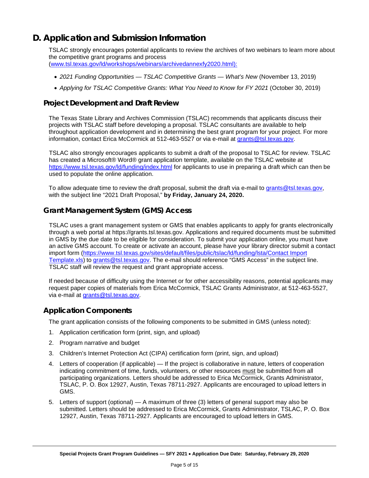# <span id="page-4-0"></span>**D. Application and Submission Information**

TSLAC strongly encourages potential applicants to review the archives of two webinars to learn more about the competitive grant programs and process [\(www.tsl.texas.gov/ld/workshops/webinars/archivedannexfy2020.html\):](www.tsl.texas.gov/ld/workshops/webinars/archivedannexfy2020.html):)

- *2021 Funding Opportunities — TSLAC Competitive Grants — What's New* (November 13, 2019)
- *Applying for TSLAC Competitive Grants: What You Need to Know for FY 2021* (October 30, 2019)

## **Project Development and Draft Review**

The Texas State Library and Archives Commission (TSLAC) recommends that applicants discuss their projects with TSLAC staff before developing a proposal. TSLAC consultants are available to help throughout application development and in determining the best grant program for your project. For more information, contact Erica McCormick at 512-463-5527 or via e-mail at grants@tsl.texas.gov.

TSLAC also strongly encourages applicants to submit a draft of the proposal to TSLAC for review. TSLAC has created a Microsoft® Word® grant application template, available on the TSLAC website at <https://www.tsl.texas.gov/ld/funding/index.html> for applicants to use in preparing a draft which can then be used to populate the online application.

To allow adequate time to review the draft proposal, submit the draft via e-mail to grants@tsl.texas.gov, with the subject line "2021 Draft Proposal," **by Friday, January 24, 2020.**

## **Grant Management System (GMS) Access**

TSLAC uses a grant management system or GMS that enables applicants to apply for grants electronically through a web portal at https://grants.tsl.texas.gov. Applications and required documents must be submitted in GMS by the due date to be eligible for consideration. To submit your application online, you must have an active GMS account. To create or activate an account, please have your library director submit a contact import form [\(https://www.tsl.texas.gov/sites/default/files/public/tslac/ld/funding/lsta/Contact Import](https://www.tsl.texas.gov/sites/default/files/public/tslac/ld/funding/lsta/Contact%20Import%20Template.xls)  [Template.xls\)](https://www.tsl.texas.gov/sites/default/files/public/tslac/ld/funding/lsta/Contact%20Import%20Template.xls) to grants@tsl.texas.gov. The e-mail should reference "GMS Access" in the subject line. TSLAC staff will review the request and grant appropriate access.

If needed because of difficulty using the Internet or for other accessibility reasons, potential applicants may request paper copies of materials from Erica McCormick, TSLAC Grants Administrator, at 512-463-5527, via e-mail at grants@tsl.texas.gov.

## **Application Components**

The grant application consists of the following components to be submitted in GMS (unless noted):

- 1. Application certification form (print, sign, and upload)
- 2. Program narrative and budget
- 3. Children's Internet Protection Act (CIPA) certification form (print, sign, and upload)
- 4. Letters of cooperation (if applicable) If the project is collaborative in nature, letters of cooperation indicating commitment of time, funds, volunteers, or other resources must be submitted from all participating organizations. Letters should be addressed to Erica McCormick, Grants Administrator, TSLAC, P. O. Box 12927, Austin, Texas 78711-2927. Applicants are encouraged to upload letters in GMS.
- 5. Letters of support (optional) A maximum of three (3) letters of general support may also be submitted. Letters should be addressed to Erica McCormick, Grants Administrator, TSLAC, P. O. Box 12927, Austin, Texas 78711-2927. Applicants are encouraged to upload letters in GMS.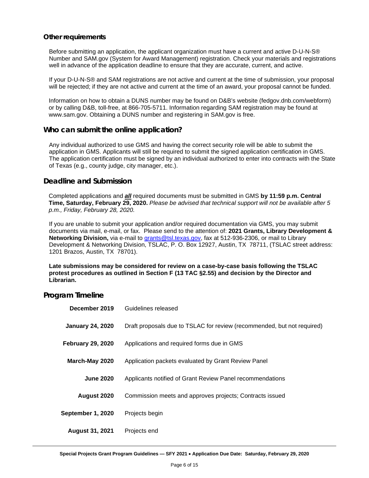#### **Other requirements**

Before submitting an application, the applicant organization must have a current and active D-U-N-S® Number and SAM.gov (System for Award Management) registration. Check your materials and registrations well in advance of the application deadline to ensure that they are accurate, current, and active.

If your D-U-N-S® and SAM registrations are not active and current at the time of submission, your proposal will be rejected; if they are not active and current at the time of an award, your proposal cannot be funded.

Information on how to obtain a DUNS number may be found on D&B's website (fedgov.dnb.com/webform) or by calling D&B, toll-free, at 866-705-5711. Information regarding SAM registration may be found at www.sam.gov. Obtaining a DUNS number and registering in SAM.gov is free.

#### **Who can submit the online application?**

Any individual authorized to use GMS and having the correct security role will be able to submit the application in GMS. Applicants will still be required to submit the signed application certification in GMS. The application certification must be signed by an individual authorized to enter into contracts with the State of Texas (e.g., county judge, city manager, etc.).

#### **Deadline and Submission**

Completed applications and *all* required documents must be submitted in GMS **by 11:59 p.m. Central Time, Saturday, February 29, 2020.** *Please be advised that technical support will not be available after 5 p.m., Friday, February 28, 2020.*

If you are unable to submit your application and/or required documentation via GMS, you may submit documents via mail, e-mail, or fax. Please send to the attention of: **2021 Grants, Library Development & Networking Division,** via e-mail to grants@tsl.texas.gov, fax at 512-936-2306, or mail to Library Development & Networking Division, TSLAC, P. O. Box 12927, Austin, TX 78711, (TSLAC street address: 1201 Brazos, Austin, TX 78701).

**Late submissions may be considered for review on a case-by-case basis following the TSLAC protest procedures as outlined in Section F (13 TAC §2.55) and decision by the Director and Librarian.**

#### **Program Timeline**

| December 2019            | Guidelines released                                                     |
|--------------------------|-------------------------------------------------------------------------|
| <b>January 24, 2020</b>  | Draft proposals due to TSLAC for review (recommended, but not required) |
| <b>February 29, 2020</b> | Applications and required forms due in GMS                              |
| March-May 2020           | Application packets evaluated by Grant Review Panel                     |
| <b>June 2020</b>         | Applicants notified of Grant Review Panel recommendations               |
| August 2020              | Commission meets and approves projects; Contracts issued                |
| September 1, 2020        | Projects begin                                                          |
| <b>August 31, 2021</b>   | Projects end                                                            |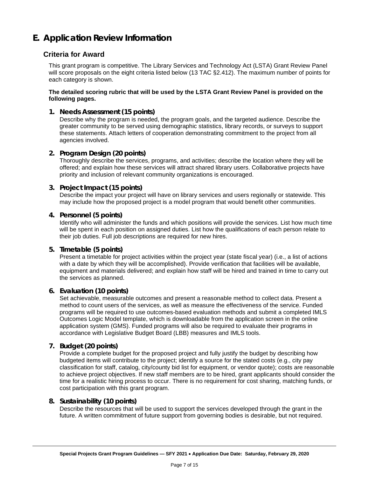# <span id="page-6-0"></span>**E. Application Review Information**

## **Criteria for Award**

This grant program is competitive. The Library Services and Technology Act (LSTA) Grant Review Panel will score proposals on the eight criteria listed below (13 TAC §2.412). The maximum number of points for each category is shown.

#### **The detailed scoring rubric that will be used by the LSTA Grant Review Panel is provided on the following pages.**

#### **1. Needs Assessment (15 points)**

Describe why the program is needed, the program goals, and the targeted audience. Describe the greater community to be served using demographic statistics, library records, or surveys to support these statements. Attach letters of cooperation demonstrating commitment to the project from all agencies involved.

#### **2. Program Design (20 points)**

Thoroughly describe the services, programs, and activities; describe the location where they will be offered; and explain how these services will attract shared library users. Collaborative projects have priority and inclusion of relevant community organizations is encouraged.

#### **3. Project Impact (15 points)**

Describe the impact your project will have on library services and users regionally or statewide. This may include how the proposed project is a model program that would benefit other communities.

#### **4. Personnel (5 points)**

Identify who will administer the funds and which positions will provide the services. List how much time will be spent in each position on assigned duties. List how the qualifications of each person relate to their job duties. Full job descriptions are required for new hires.

#### **5. Timetable (5 points)**

Present a timetable for project activities within the project year (state fiscal year) (i.e., a list of actions with a date by which they will be accomplished). Provide verification that facilities will be available, equipment and materials delivered; and explain how staff will be hired and trained in time to carry out the services as planned.

#### **6. Evaluation (10 points)**

Set achievable, measurable outcomes and present a reasonable method to collect data. Present a method to count users of the services, as well as measure the effectiveness of the service. Funded programs will be required to use outcomes-based evaluation methods and submit a completed IMLS Outcomes Logic Model template, which is downloadable from the application screen in the online application system (GMS). Funded programs will also be required to evaluate their programs in accordance with Legislative Budget Board (LBB) measures and IMLS tools.

#### **7. Budget (20 points)**

Provide a complete budget for the proposed project and fully justify the budget by describing how budgeted items will contribute to the project; identify a source for the stated costs (e.g., city pay classification for staff, catalog, city/county bid list for equipment, or vendor quote); costs are reasonable to achieve project objectives. If new staff members are to be hired, grant applicants should consider the time for a realistic hiring process to occur. There is no requirement for cost sharing, matching funds, or cost participation with this grant program.

#### **8. Sustainability (10 points)**

Describe the resources that will be used to support the services developed through the grant in the future. A written commitment of future support from governing bodies is desirable, but not required.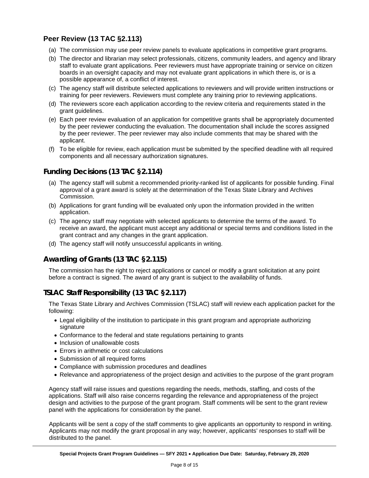## **Peer Review (13 TAC §2.113)**

- (a) The commission may use peer review panels to evaluate applications in competitive grant programs.
- (b) The director and librarian may select professionals, citizens, community leaders, and agency and library staff to evaluate grant applications. Peer reviewers must have appropriate training or service on citizen boards in an oversight capacity and may not evaluate grant applications in which there is, or is a possible appearance of, a conflict of interest.
- (c) The agency staff will distribute selected applications to reviewers and will provide written instructions or training for peer reviewers. Reviewers must complete any training prior to reviewing applications.
- (d) The reviewers score each application according to the review criteria and requirements stated in the grant guidelines.
- (e) Each peer review evaluation of an application for competitive grants shall be appropriately documented by the peer reviewer conducting the evaluation. The documentation shall include the scores assigned by the peer reviewer. The peer reviewer may also include comments that may be shared with the applicant.
- (f) To be eligible for review, each application must be submitted by the specified deadline with all required components and all necessary authorization signatures.

## **Funding Decisions (13 TAC §2.114)**

- (a) The agency staff will submit a recommended priority-ranked list of applicants for possible funding. Final approval of a grant award is solely at the determination of the Texas State Library and Archives Commission.
- (b) Applications for grant funding will be evaluated only upon the information provided in the written application.
- (c) The agency staff may negotiate with selected applicants to determine the terms of the award. To receive an award, the applicant must accept any additional or special terms and conditions listed in the grant contract and any changes in the grant application.
- (d) The agency staff will notify unsuccessful applicants in writing.

## **Awarding of Grants (13 TAC §2.115)**

The commission has the right to reject applications or cancel or modify a grant solicitation at any point before a contract is signed. The award of any grant is subject to the availability of funds.

## **TSLAC Staff Responsibility (13 TAC §2.117)**

The Texas State Library and Archives Commission (TSLAC) staff will review each application packet for the following:

- Legal eligibility of the institution to participate in this grant program and appropriate authorizing signature
- Conformance to the federal and state regulations pertaining to grants
- Inclusion of unallowable costs
- Errors in arithmetic or cost calculations
- Submission of all required forms
- Compliance with submission procedures and deadlines
- Relevance and appropriateness of the project design and activities to the purpose of the grant program

Agency staff will raise issues and questions regarding the needs, methods, staffing, and costs of the applications. Staff will also raise concerns regarding the relevance and appropriateness of the project design and activities to the purpose of the grant program. Staff comments will be sent to the grant review panel with the applications for consideration by the panel.

Applicants will be sent a copy of the staff comments to give applicants an opportunity to respond in writing. Applicants may not modify the grant proposal in any way; however, applicants' responses to staff will be distributed to the panel.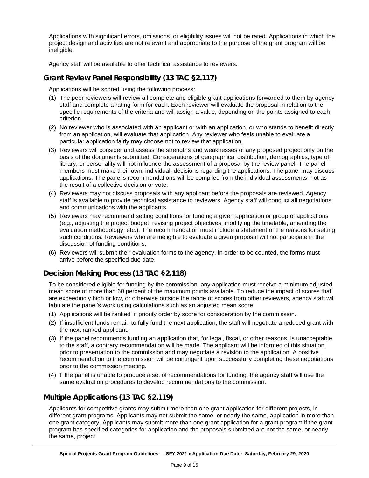Applications with significant errors, omissions, or eligibility issues will not be rated. Applications in which the project design and activities are not relevant and appropriate to the purpose of the grant program will be ineligible.

Agency staff will be available to offer technical assistance to reviewers.

## **Grant Review Panel Responsibility (13 TAC §2.117)**

Applications will be scored using the following process:

- (1) The peer reviewers will review all complete and eligible grant applications forwarded to them by agency staff and complete a rating form for each. Each reviewer will evaluate the proposal in relation to the specific requirements of the criteria and will assign a value, depending on the points assigned to each criterion.
- (2) No reviewer who is associated with an applicant or with an application, or who stands to benefit directly from an application, will evaluate that application. Any reviewer who feels unable to evaluate a particular application fairly may choose not to review that application.
- (3) Reviewers will consider and assess the strengths and weaknesses of any proposed project only on the basis of the documents submitted. Considerations of geographical distribution, demographics, type of library, or personality will not influence the assessment of a proposal by the review panel. The panel members must make their own, individual, decisions regarding the applications. The panel may discuss applications. The panel's recommendations will be compiled from the individual assessments, not as the result of a collective decision or vote.
- (4) Reviewers may not discuss proposals with any applicant before the proposals are reviewed. Agency staff is available to provide technical assistance to reviewers. Agency staff will conduct all negotiations and communications with the applicants.
- (5) Reviewers may recommend setting conditions for funding a given application or group of applications (e.g., adjusting the project budget, revising project objectives, modifying the timetable, amending the evaluation methodology, etc.). The recommendation must include a statement of the reasons for setting such conditions. Reviewers who are ineligible to evaluate a given proposal will not participate in the discussion of funding conditions.
- (6) Reviewers will submit their evaluation forms to the agency. In order to be counted, the forms must arrive before the specified due date.

## **Decision Making Process (13 TAC §2.118)**

To be considered eligible for funding by the commission, any application must receive a minimum adjusted mean score of more than 60 percent of the maximum points available. To reduce the impact of scores that are exceedingly high or low, or otherwise outside the range of scores from other reviewers, agency staff will tabulate the panel's work using calculations such as an adjusted mean score.

- (1) Applications will be ranked in priority order by score for consideration by the commission.
- (2) If insufficient funds remain to fully fund the next application, the staff will negotiate a reduced grant with the next ranked applicant.
- (3) If the panel recommends funding an application that, for legal, fiscal, or other reasons, is unacceptable to the staff, a contrary recommendation will be made. The applicant will be informed of this situation prior to presentation to the commission and may negotiate a revision to the application. A positive recommendation to the commission will be contingent upon successfully completing these negotiations prior to the commission meeting.
- (4) If the panel is unable to produce a set of recommendations for funding, the agency staff will use the same evaluation procedures to develop recommendations to the commission.

## **Multiple Applications (13 TAC §2.119)**

Applicants for competitive grants may submit more than one grant application for different projects, in different grant programs. Applicants may not submit the same, or nearly the same, application in more than one grant category. Applicants may submit more than one grant application for a grant program if the grant program has specified categories for application and the proposals submitted are not the same, or nearly the same, project.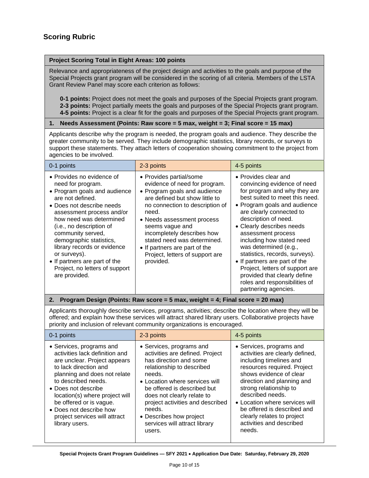#### **Project Scoring Total in Eight Areas: 100 points**

Relevance and appropriateness of the project design and activities to the goals and purpose of the Special Projects grant program will be considered in the scoring of all criteria. Members of the LSTA Grant Review Panel may score each criterion as follows:

**0-1 points:** Project does not meet the goals and purposes of the Special Projects grant program. **2-3 points:** Project partially meets the goals and purposes of the Special Projects grant program. **4-5 points:** Project is a clear fit for the goals and purposes of the Special Projects grant program.

#### **1. Needs Assessment (Points: Raw score = 5 max, weight = 3; Final score = 15 max)**

Applicants describe why the program is needed, the program goals and audience. They describe the greater community to be served. They include demographic statistics, library records, or surveys to support these statements. They attach letters of cooperation showing commitment to the project from agencies to be involved.

| 0-1 points                                                                                                                                                                                                                                                                                                                                                                                             | 2-3 points                                                                                                                                                                                                                                                                                                                                                            | 4-5 points                                                                                                                                                                                                                                                                                                                                                                                                                                                                                                        |
|--------------------------------------------------------------------------------------------------------------------------------------------------------------------------------------------------------------------------------------------------------------------------------------------------------------------------------------------------------------------------------------------------------|-----------------------------------------------------------------------------------------------------------------------------------------------------------------------------------------------------------------------------------------------------------------------------------------------------------------------------------------------------------------------|-------------------------------------------------------------------------------------------------------------------------------------------------------------------------------------------------------------------------------------------------------------------------------------------------------------------------------------------------------------------------------------------------------------------------------------------------------------------------------------------------------------------|
| • Provides no evidence of<br>need for program.<br>• Program goals and audience<br>are not defined.<br>• Does not describe needs<br>assessment process and/or<br>how need was determined<br>(i.e., no description of<br>community served,<br>demographic statistics,<br>library records or evidence<br>or surveys).<br>• If partners are part of the<br>Project, no letters of support<br>are provided. | • Provides partial/some<br>evidence of need for program.<br>• Program goals and audience<br>are defined but show little to<br>no connection to description of<br>need.<br>• Needs assessment process<br>seems vague and<br>incompletely describes how<br>stated need was determined.<br>• If partners are part of the<br>Project, letters of support are<br>provided. | • Provides clear and<br>convincing evidence of need<br>for program and why they are<br>best suited to meet this need.<br>• Program goals and audience<br>are clearly connected to<br>description of need.<br>• Clearly describes needs<br>assessment process<br>including how stated need<br>was determined (e.g.,<br>statistics, records, surveys).<br>• If partners are part of the<br>Project, letters of support are<br>provided that clearly define<br>roles and responsibilities of<br>partnering agencies. |

#### **2. Program Design (Points: Raw score = 5 max, weight = 4; Final score = 20 max)**

Applicants thoroughly describe services, programs, activities; describe the location where they will be offered; and explain how these services will attract shared library users. Collaborative projects have priority and inclusion of relevant community organizations is encouraged.

| 0-1 points                                                                                                                                                                                                                                                                                                                                   | 2-3 points                                                                                                                                                                                                                                                                                                                                      | 4-5 points                                                                                                                                                                                                                                                                                                                                                        |
|----------------------------------------------------------------------------------------------------------------------------------------------------------------------------------------------------------------------------------------------------------------------------------------------------------------------------------------------|-------------------------------------------------------------------------------------------------------------------------------------------------------------------------------------------------------------------------------------------------------------------------------------------------------------------------------------------------|-------------------------------------------------------------------------------------------------------------------------------------------------------------------------------------------------------------------------------------------------------------------------------------------------------------------------------------------------------------------|
| • Services, programs and<br>activities lack definition and<br>are unclear. Project appears<br>to lack direction and<br>planning and does not relate<br>to described needs.<br>• Does not describe<br>location(s) where project will<br>be offered or is vague.<br>• Does not describe how<br>project services will attract<br>library users. | • Services, programs and<br>activities are defined. Project<br>has direction and some<br>relationship to described<br>needs.<br>• Location where services will<br>be offered is described but<br>does not clearly relate to<br>project activities and described<br>needs.<br>• Describes how project<br>services will attract library<br>users. | • Services, programs and<br>activities are clearly defined,<br>including timelines and<br>resources required. Project<br>shows evidence of clear<br>direction and planning and<br>strong relationship to<br>described needs.<br>• Location where services will<br>be offered is described and<br>clearly relates to project<br>activities and described<br>needs. |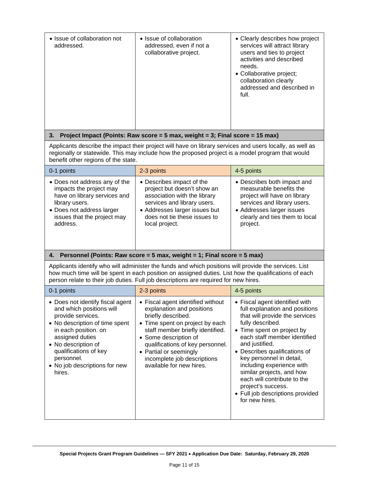| • Issue of collaboration not<br>addressed.                                                                                             | • Issue of collaboration<br>addressed, even if not a<br>collaborative project.                                                                                                                               | • Clearly describes how project<br>services will attract library<br>users and ties to project<br>activities and described<br>needs.<br>• Collaborative project;<br>collaboration clearly<br>addressed and described in<br>full. |
|----------------------------------------------------------------------------------------------------------------------------------------|--------------------------------------------------------------------------------------------------------------------------------------------------------------------------------------------------------------|---------------------------------------------------------------------------------------------------------------------------------------------------------------------------------------------------------------------------------|
| 3.                                                                                                                                     | Project Impact (Points: Raw score = $5$ max, weight = $3$ ; Final score = $15$ max)                                                                                                                          |                                                                                                                                                                                                                                 |
| benefit other regions of the state.                                                                                                    | Applicants describe the impact their project will have on library services and users locally, as well as<br>regionally or statewide. This may include how the proposed project is a model program that would |                                                                                                                                                                                                                                 |
| 0-1 points                                                                                                                             | 2-3 points                                                                                                                                                                                                   | 4-5 points                                                                                                                                                                                                                      |
| • Does not address any of the<br>impacts the project may<br>have on library services and<br>library users.<br>Daaa wat aalabaaa labaas | • Describes impact of the<br>project but doesn't show an<br>association with the library<br>services and library users.<br>A dduasasa laxwax isawas but                                                      | • Describes both impact and<br>measurable benefits the<br>project will have on library<br>services and library users.<br>الممتنعما بمسما مممممبادات                                                                             |

| 0-1 points                    | 2-3 points                    | 4-5 points                     |
|-------------------------------|-------------------------------|--------------------------------|
| • Does not address any of the | • Describes impact of the     | • Describes both impact and    |
| impacts the project may       | project but doesn't show an   | measurable benefits the        |
| have on library services and  | association with the library  | project will have on library   |
| library users.                | services and library users.   | services and library users.    |
| • Does not address larger     | • Addresses larger issues but | • Addresses larger issues      |
| issues that the project may   | does not tie these issues to  | clearly and ties them to local |
| address.                      | local project.                | project.                       |

## **4. Personnel (Points: Raw score = 5 max, weight = 1; Final score = 5 max)**

Applicants identify who will administer the funds and which positions will provide the services. List how much time will be spent in each position on assigned duties. List how the qualifications of each person relate to their job duties. Full job descriptions are required for new hires.

| 0-1 points                                                                                                                                                                                                                                                              | 2-3 points                                                                                                                                                                                                                                                                                                    | 4-5 points                                                                                                                                                                                                                                                                                                                                                                                                                               |
|-------------------------------------------------------------------------------------------------------------------------------------------------------------------------------------------------------------------------------------------------------------------------|---------------------------------------------------------------------------------------------------------------------------------------------------------------------------------------------------------------------------------------------------------------------------------------------------------------|------------------------------------------------------------------------------------------------------------------------------------------------------------------------------------------------------------------------------------------------------------------------------------------------------------------------------------------------------------------------------------------------------------------------------------------|
| • Does not identify fiscal agent<br>and which positions will<br>provide services.<br>• No description of time spent<br>in each position. on<br>assigned duties<br>• No description of<br>qualifications of key<br>personnel.<br>• No job descriptions for new<br>hires. | • Fiscal agent identified without<br>explanation and positions<br>briefly described.<br>• Time spent on project by each<br>staff member briefly identified.<br>• Some description of<br>qualifications of key personnel.<br>• Partial or seemingly<br>incomplete job descriptions<br>available for new hires. | • Fiscal agent identified with<br>full explanation and positions<br>that will provide the services<br>fully described.<br>• Time spent on project by<br>each staff member identified<br>and justified.<br>• Describes qualifications of<br>key personnel in detail,<br>including experience with<br>similar projects, and how<br>each will contribute to the<br>project's success.<br>• Full job descriptions provided<br>for new hires. |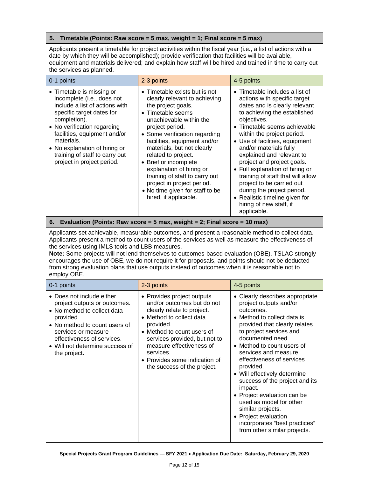#### **5. Timetable (Points: Raw score = 5 max, weight = 1; Final score = 5 max)**

Applicants present a timetable for project activities within the fiscal year (i.e., a list of actions with a date by which they will be accomplished); provide verification that facilities will be available, equipment and materials delivered; and explain how staff will be hired and trained in time to carry out the services as planned.

| 0-1 points                                                                                                                                                                                                                                                                                                           | 2-3 points                                                                                                                                                                                                                                                                                                                                                                                                                                                             | 4-5 points                                                                                                                                                                                                                                                                                                                                                                                                                                                                                                                                                 |
|----------------------------------------------------------------------------------------------------------------------------------------------------------------------------------------------------------------------------------------------------------------------------------------------------------------------|------------------------------------------------------------------------------------------------------------------------------------------------------------------------------------------------------------------------------------------------------------------------------------------------------------------------------------------------------------------------------------------------------------------------------------------------------------------------|------------------------------------------------------------------------------------------------------------------------------------------------------------------------------------------------------------------------------------------------------------------------------------------------------------------------------------------------------------------------------------------------------------------------------------------------------------------------------------------------------------------------------------------------------------|
| • Timetable is missing or<br>incomplete (i.e., does not<br>include a list of actions with<br>specific target dates for<br>completion).<br>• No verification regarding<br>facilities, equipment and/or<br>materials.<br>• No explanation of hiring or<br>training of staff to carry out<br>project in project period. | $\bullet$ Timetable exists but is not<br>clearly relevant to achieving<br>the project goals.<br>• Timetable seems<br>unachievable within the<br>project period.<br>• Some verification regarding<br>facilities, equipment and/or<br>materials, but not clearly<br>related to project.<br>• Brief or incomplete<br>explanation of hiring or<br>training of staff to carry out<br>project in project period.<br>• No time given for staff to be<br>hired, if applicable. | $\bullet$ Timetable includes a list of<br>actions with specific target<br>dates and is clearly relevant<br>to achieving the established<br>objectives.<br>• Timetable seems achievable<br>within the project period.<br>• Use of facilities, equipment<br>and/or materials fully<br>explained and relevant to<br>project and project goals.<br>• Full explanation of hiring or<br>training of staff that will allow<br>project to be carried out<br>during the project period.<br>• Realistic timeline given for<br>hiring of new staff, if<br>applicable. |

**6. Evaluation (Points: Raw score = 5 max, weight = 2; Final score = 10 max)**

Applicants set achievable, measurable outcomes, and present a reasonable method to collect data. Applicants present a method to count users of the services as well as measure the effectiveness of the services using IMLS tools and LBB measures.

**Note:** Some projects will not lend themselves to outcomes-based evaluation (OBE). TSLAC strongly encourages the use of OBE, we do not require it for proposals, and points should not be deducted from strong evaluation plans that use outputs instead of outcomes when it is reasonable not to employ OBE.

| 0-1 points                                                                                                                                                                                                                                     | 2-3 points                                                                                                                                                                                                                                                                                              | 4-5 points                                                                                                                                                                                                                                                                                                                                                                                                                                                                                                                                 |
|------------------------------------------------------------------------------------------------------------------------------------------------------------------------------------------------------------------------------------------------|---------------------------------------------------------------------------------------------------------------------------------------------------------------------------------------------------------------------------------------------------------------------------------------------------------|--------------------------------------------------------------------------------------------------------------------------------------------------------------------------------------------------------------------------------------------------------------------------------------------------------------------------------------------------------------------------------------------------------------------------------------------------------------------------------------------------------------------------------------------|
| • Does not include either<br>project outputs or outcomes.<br>• No method to collect data<br>provided.<br>• No method to count users of<br>services or measure<br>effectiveness of services.<br>• Will not determine success of<br>the project. | • Provides project outputs<br>and/or outcomes but do not<br>clearly relate to project.<br>• Method to collect data<br>provided.<br>• Method to count users of<br>services provided, but not to<br>measure effectiveness of<br>services.<br>• Provides some indication of<br>the success of the project. | • Clearly describes appropriate<br>project outputs and/or<br>outcomes.<br>• Method to collect data is<br>provided that clearly relates<br>to project services and<br>documented need.<br>• Method to count users of<br>services and measure<br>effectiveness of services<br>provided.<br>• Will effectively determine<br>success of the project and its<br>impact.<br>• Project evaluation can be<br>used as model for other<br>similar projects.<br>• Project evaluation<br>incorporates "best practices"<br>from other similar projects. |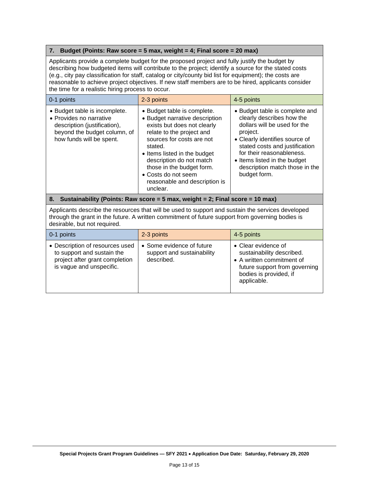#### **7. Budget (Points: Raw score = 5 max, weight = 4; Final score = 20 max)**

Applicants provide a complete budget for the proposed project and fully justify the budget by describing how budgeted items will contribute to the project; identify a source for the stated costs (e.g., city pay classification for staff, catalog or city/county bid list for equipment); the costs are reasonable to achieve project objectives. If new staff members are to be hired, applicants consider the time for a realistic hiring process to occur.

| 0-1 points                                                                                                                                           | 2-3 points                                                                                                                                                                                                                                                                                                                     | 4-5 points                                                                                                                                                                                                                                                                                 |
|------------------------------------------------------------------------------------------------------------------------------------------------------|--------------------------------------------------------------------------------------------------------------------------------------------------------------------------------------------------------------------------------------------------------------------------------------------------------------------------------|--------------------------------------------------------------------------------------------------------------------------------------------------------------------------------------------------------------------------------------------------------------------------------------------|
| • Budget table is incomplete.<br>• Provides no narrative<br>description (justification),<br>beyond the budget column, of<br>how funds will be spent. | • Budget table is complete.<br>• Budget narrative description<br>exists but does not clearly<br>relate to the project and<br>sources for costs are not<br>stated.<br>• Items listed in the budget<br>description do not match<br>those in the budget form.<br>• Costs do not seem<br>reasonable and description is<br>unclear. | • Budget table is complete and<br>clearly describes how the<br>dollars will be used for the<br>project.<br>• Clearly identifies source of<br>stated costs and justification<br>for their reasonableness.<br>• Items listed in the budget<br>description match those in the<br>budget form. |
| 8. Sustainability (Points: Raw score = 5 max, weight = 2; Final score = 10 max)                                                                      |                                                                                                                                                                                                                                                                                                                                |                                                                                                                                                                                                                                                                                            |

Applicants describe the resources that will be used to support and sustain the services developed through the grant in the future. A written commitment of future support from governing bodies is desirable, but not required.

| $\vert$ 0-1 points                                                                                                          | 2-3 points                                                            | 4-5 points                                                                                                                                              |
|-----------------------------------------------------------------------------------------------------------------------------|-----------------------------------------------------------------------|---------------------------------------------------------------------------------------------------------------------------------------------------------|
| • Description of resources used<br>to support and sustain the<br>project after grant completion<br>is vague and unspecific. | • Some evidence of future<br>support and sustainability<br>described. | • Clear evidence of<br>sustainability described.<br>• A written commitment of<br>future support from governing<br>bodies is provided, if<br>applicable. |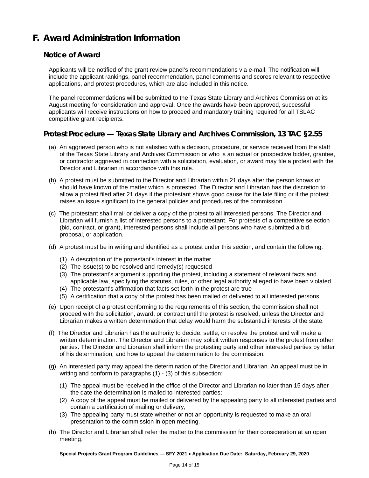# <span id="page-13-0"></span>**F. Award Administration Information**

## **Notice of Award**

Applicants will be notified of the grant review panel's recommendations via e-mail. The notification will include the applicant rankings, panel recommendation, panel comments and scores relevant to respective applications, and protest procedures, which are also included in this notice.

The panel recommendations will be submitted to the Texas State Library and Archives Commission at its August meeting for consideration and approval. Once the awards have been approved, successful applicants will receive instructions on how to proceed and mandatory training required for all TSLAC competitive grant recipients.

## **Protest Procedure — Texas State Library and Archives Commission, 13 TAC §2.55**

- (a) An aggrieved person who is not satisfied with a decision, procedure, or service received from the staff of the Texas State Library and Archives Commission or who is an actual or prospective bidder, grantee, or contractor aggrieved in connection with a solicitation, evaluation, or award may file a protest with the Director and Librarian in accordance with this rule.
- (b) A protest must be submitted to the Director and Librarian within 21 days after the person knows or should have known of the matter which is protested. The Director and Librarian has the discretion to allow a protest filed after 21 days if the protestant shows good cause for the late filing or if the protest raises an issue significant to the general policies and procedures of the commission.
- (c) The protestant shall mail or deliver a copy of the protest to all interested persons. The Director and Librarian will furnish a list of interested persons to a protestant. For protests of a competitive selection (bid, contract, or grant), interested persons shall include all persons who have submitted a bid, proposal, or application.
- (d) A protest must be in writing and identified as a protest under this section, and contain the following:
	- (1) A description of the protestant's interest in the matter
	- (2) The issue(s) to be resolved and remedy(s) requested
	- (3) The protestant's argument supporting the protest, including a statement of relevant facts and applicable law, specifying the statutes, rules, or other legal authority alleged to have been violated
	- (4) The protestant's affirmation that facts set forth in the protest are true
	- (5) A certification that a copy of the protest has been mailed or delivered to all interested persons
- (e) Upon receipt of a protest conforming to the requirements of this section, the commission shall not proceed with the solicitation, award, or contract until the protest is resolved, unless the Director and Librarian makes a written determination that delay would harm the substantial interests of the state.
- (f) The Director and Librarian has the authority to decide, settle, or resolve the protest and will make a written determination. The Director and Librarian may solicit written responses to the protest from other parties. The Director and Librarian shall inform the protesting party and other interested parties by letter of his determination, and how to appeal the determination to the commission.
- (g) An interested party may appeal the determination of the Director and Librarian. An appeal must be in writing and conform to paragraphs (1) - (3) of this subsection:
	- (1) The appeal must be received in the office of the Director and Librarian no later than 15 days after the date the determination is mailed to interested parties;
	- (2) A copy of the appeal must be mailed or delivered by the appealing party to all interested parties and contain a certification of mailing or delivery;
	- (3) The appealing party must state whether or not an opportunity is requested to make an oral presentation to the commission in open meeting.
- (h) The Director and Librarian shall refer the matter to the commission for their consideration at an open meeting.